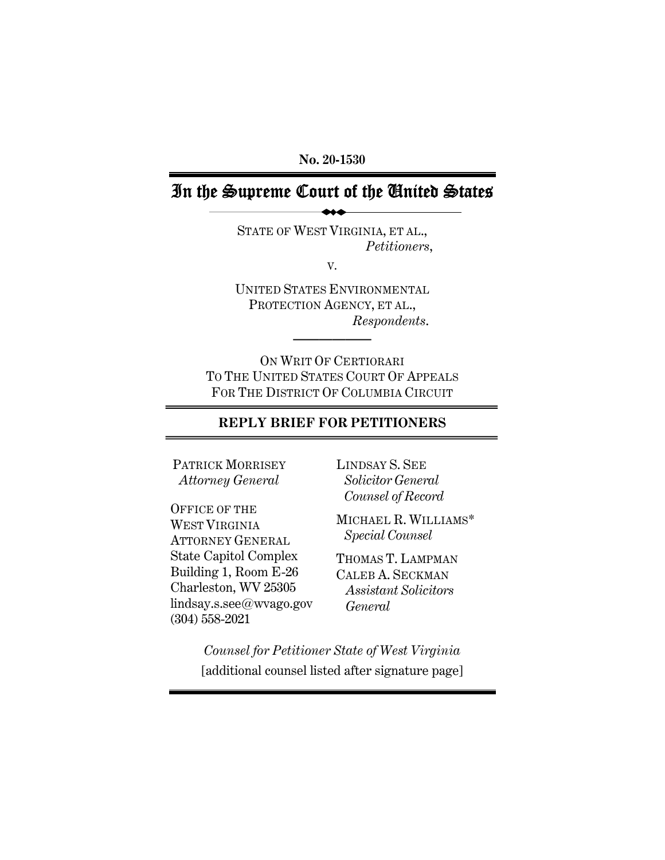**No. 20-1530** 

## In the Supreme Court of the United States

STATE OF WEST VIRGINIA, ET AL., *Petitioners*,

V.

UNITED STATES ENVIRONMENTAL PROTECTION AGENCY, ET AL., *Respondents*.

**——————** 

ON WRIT OF CERTIORARI TO THE UNITED STATES COURT OF APPEALS FOR THE DISTRICT OF COLUMBIA CIRCUIT

## **REPLY BRIEF FOR PETITIONERS**

PATRICK MORRISEY  *Attorney General* 

OFFICE OF THE WEST VIRGINIA ATTORNEY GENERAL State Capitol Complex Building 1, Room E-26 Charleston, WV 25305 lindsay.s.see@wvago.gov (304) 558-2021

LINDSAY S. SEE  *Solicitor General Counsel of Record*

MICHAEL R. WILLIAMS\*  *Special Counsel*

THOMAS T. LAMPMAN CALEB A. SECKMAN *Assistant Solicitors General* 

*Counsel for Petitioner State of West Virginia*  [additional counsel listed after signature page]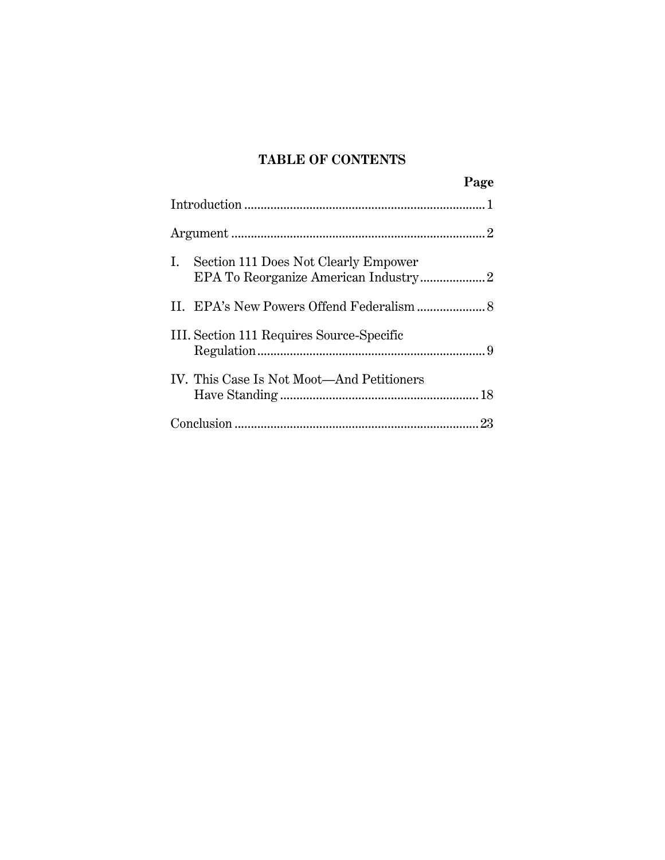## **TABLE OF CONTENTS**

|                                           | Page |
|-------------------------------------------|------|
|                                           |      |
|                                           |      |
| Section 111 Does Not Clearly Empower      |      |
|                                           |      |
| III. Section 111 Requires Source-Specific |      |
| IV. This Case Is Not Moot—And Petitioners |      |
|                                           |      |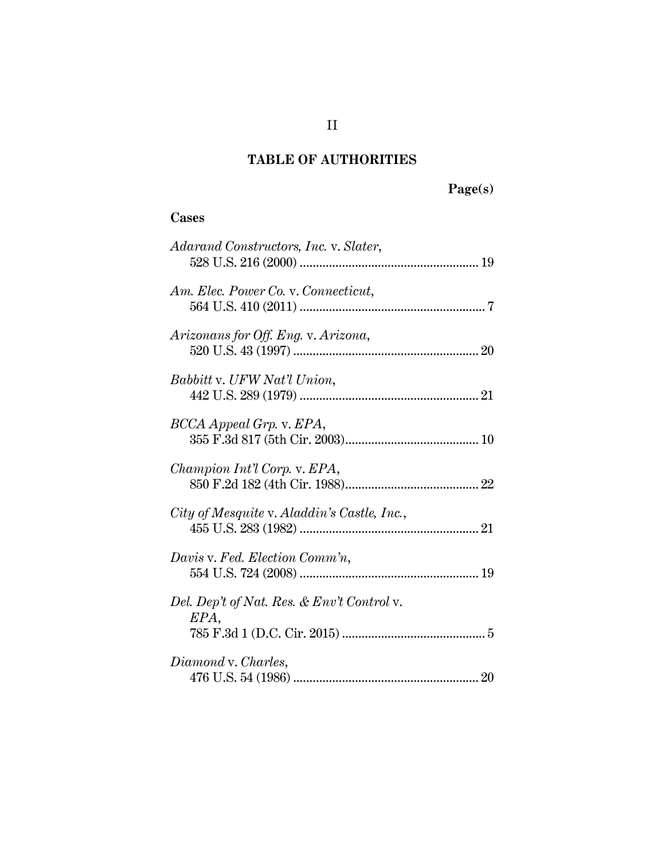# **Page(s)**

# **Cases**

| Adarand Constructors, Inc. v. Slater,              |
|----------------------------------------------------|
| Am. Elec. Power Co. v. Connecticut,                |
| Arizonans for Off. Eng. v. Arizona,                |
| Babbitt v. UFW Nat'l Union,                        |
| BCCA Appeal Grp. v. EPA,                           |
| Champion Int'l Corp. v. EPA,                       |
| City of Mesquite v. Aladdin's Castle, Inc.,        |
| Davis v. Fed. Election Comm'n,                     |
| Del. Dep't of Nat. Res. & Env't Control v.<br>EPA, |
| Diamond v. Charles,                                |
|                                                    |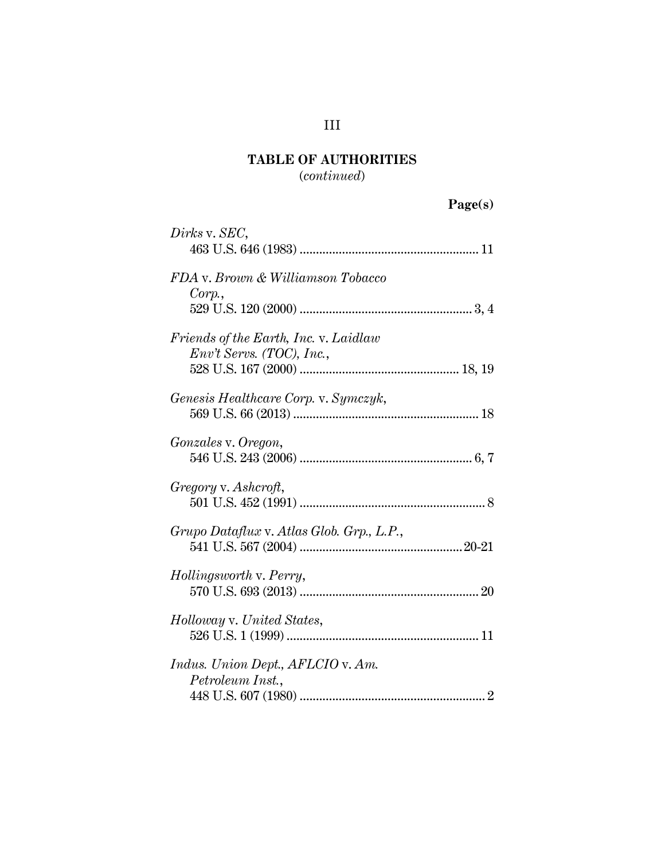(*continued*)

| 'age(s |
|--------|
|--------|

| Dirks v. SEC,                                                      |
|--------------------------------------------------------------------|
| FDA v. Brown & Williamson Tobacco<br>Corp.                         |
| Friends of the Earth, Inc. v. Laidlaw<br>Env't Servs. (TOC), Inc., |
| Genesis Healthcare Corp. v. Symczyk,                               |
| Gonzales v. Oregon,                                                |
| Gregory v. Ashcroft,                                               |
| Grupo Dataflux v. Atlas Glob. Grp., L.P.,                          |
| Hollingsworth v. Perry,                                            |
| Holloway v. United States,                                         |
| Indus. Union Dept., AFLCIO v. Am.<br>Petroleum Inst.,              |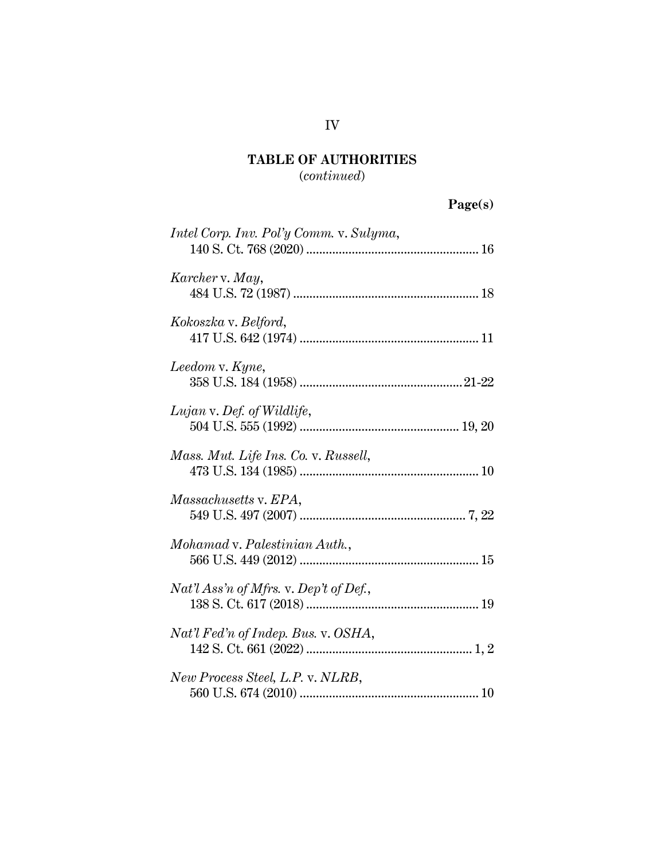(*continued*)

| age(s) |  |
|--------|--|
|        |  |

| Intel Corp. Inv. Pol'y Comm. v. Sulyma,  |
|------------------------------------------|
| Karcher v. May,                          |
| Kokoszka v. Belford,                     |
| Leedom v. Kyne,                          |
| Lujan v. Def. of Wildlife,               |
| Mass. Mut. Life Ins. Co. v. Russell,     |
| Massachusetts v. EPA,                    |
| Mohamad v. Palestinian Auth.,            |
| $Nat'l$ Ass'n of Mfrs. v. Dep't of Def., |
| Nat'l Fed'n of Indep. Bus. v. OSHA,      |
| New Process Steel, L.P. v. NLRB,         |

## IV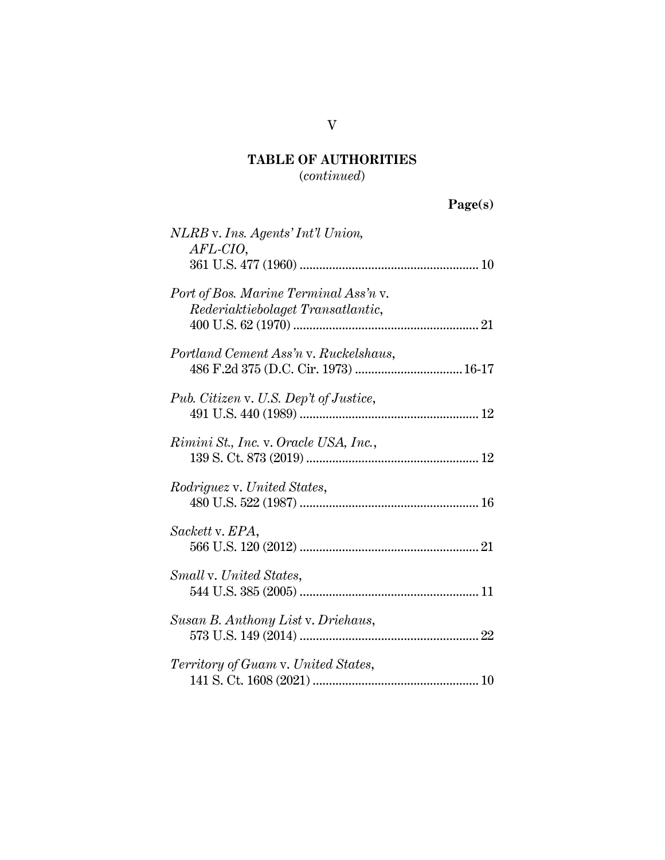(*continued*)

| aget s |
|--------|
|--------|

| NLRB v. Ins. Agents' Int'l Union,<br>AFL-CIO,                                 |
|-------------------------------------------------------------------------------|
|                                                                               |
| Port of Bos. Marine Terminal Ass'n v.<br>Rederiaktiebolaget Transatlantic,    |
| Portland Cement Ass'n v. Ruckelshaus,<br>486 F.2d 375 (D.C. Cir. 1973)  16-17 |
| Pub. Citizen v. U.S. Dep't of Justice,                                        |
| Rimini St., Inc. v. Oracle USA, Inc.,                                         |
| <i>Rodriguez v. United States,</i>                                            |
| Sackett v. EPA,                                                               |
| Small v. United States,                                                       |
| Susan B. Anthony List v. Driehaus,                                            |
| Territory of Guam v. United States,                                           |

V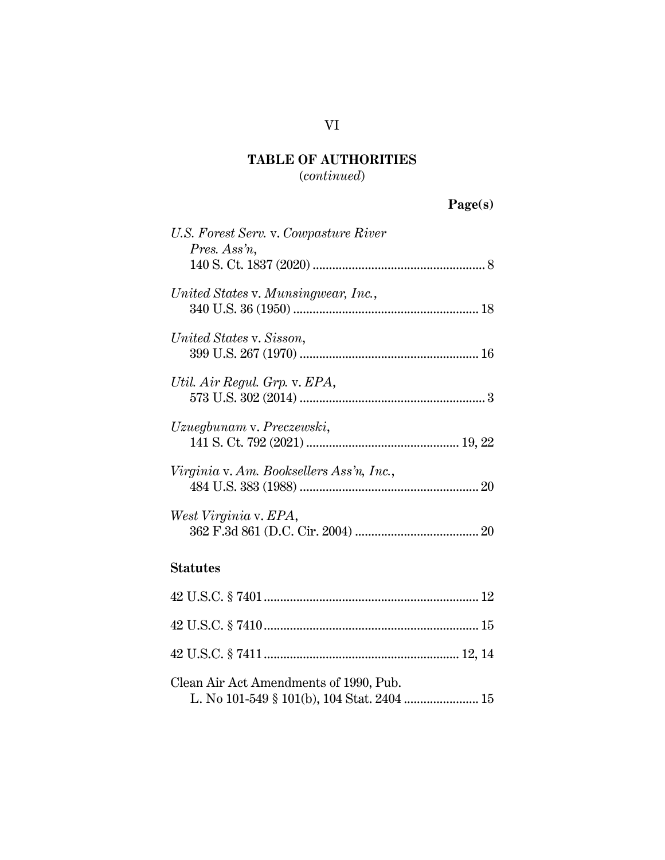(*continued*)

| 'age(s) |
|---------|
|---------|

| U.S. Forest Serv. v. Cowpasture River<br>Pres. Ass'n, |
|-------------------------------------------------------|
| United States v. Munsingwear, Inc.,                   |
| United States v. Sisson,                              |
| Util. Air Regul. Grp. v. EPA,                         |
| Uzuegbunam v. Preczewski,                             |
| Virginia v. Am. Booksellers Ass'n, Inc.,              |
| West Virginia v. EPA,                                 |
| <b>Statutes</b>                                       |
|                                                       |
|                                                       |

| Clean Air Act Amendments of 1990, Pub. |  |
|----------------------------------------|--|

|--|--|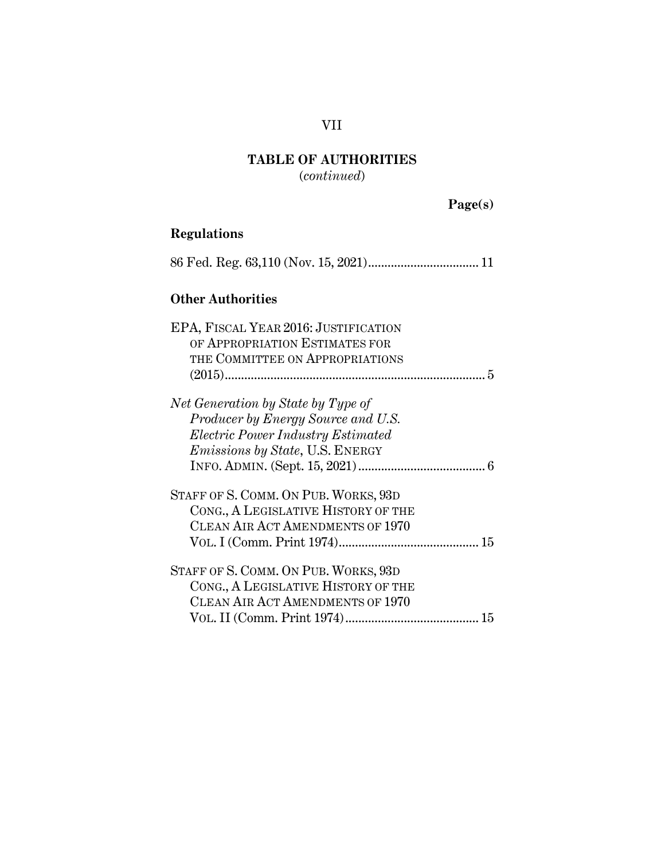VII

(*continued*)

 **Page(s)** 

## **Regulations**

| regulativiis                                                                                                                                            |
|---------------------------------------------------------------------------------------------------------------------------------------------------------|
|                                                                                                                                                         |
| <b>Other Authorities</b>                                                                                                                                |
| EPA, FISCAL YEAR 2016: JUSTIFICATION<br>OF APPROPRIATION ESTIMATES FOR<br>THE COMMITTEE ON APPROPRIATIONS                                               |
| Net Generation by State by Type of<br>Producer by Energy Source and U.S.<br>Electric Power Industry Estimated<br><i>Emissions by State, U.S. ENERGY</i> |
| STAFF OF S. COMM. ON PUB. WORKS, 93D<br>CONG., A LEGISLATIVE HISTORY OF THE<br>CLEAN AIR ACT AMENDMENTS OF 1970                                         |
| STAFF OF S. COMM. ON PUB. WORKS, 93D<br>CONG., A LEGISLATIVE HISTORY OF THE<br>CLEAN AIR ACT AMENDMENTS OF 1970                                         |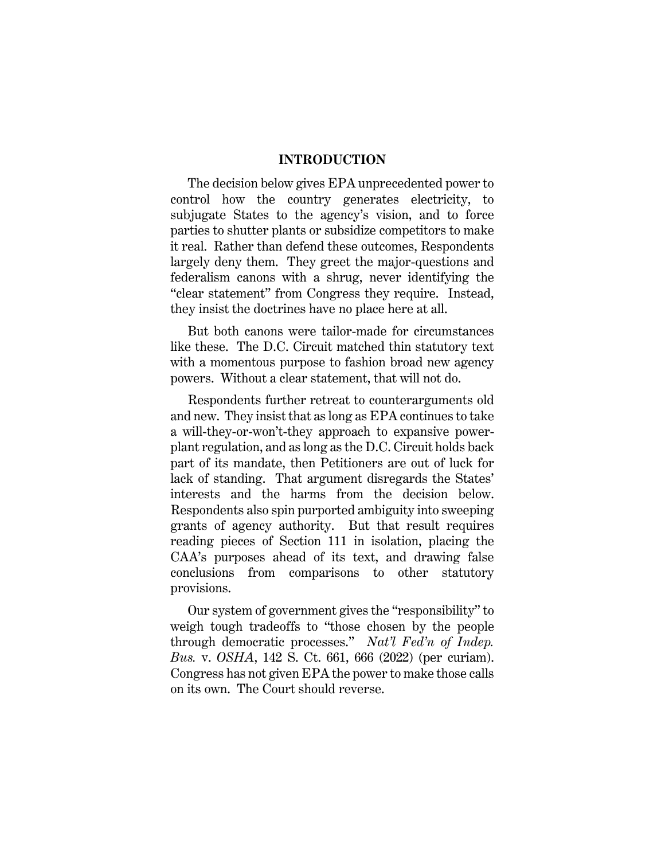#### **INTRODUCTION**

The decision below gives EPA unprecedented power to control how the country generates electricity, to subjugate States to the agency's vision, and to force parties to shutter plants or subsidize competitors to make it real. Rather than defend these outcomes, Respondents largely deny them. They greet the major-questions and federalism canons with a shrug, never identifying the "clear statement" from Congress they require. Instead, they insist the doctrines have no place here at all.

But both canons were tailor-made for circumstances like these. The D.C. Circuit matched thin statutory text with a momentous purpose to fashion broad new agency powers. Without a clear statement, that will not do.

Respondents further retreat to counterarguments old and new. They insist that as long as EPA continues to take a will-they-or-won't-they approach to expansive powerplant regulation, and as long as the D.C. Circuit holds back part of its mandate, then Petitioners are out of luck for lack of standing. That argument disregards the States' interests and the harms from the decision below. Respondents also spin purported ambiguity into sweeping grants of agency authority. But that result requires reading pieces of Section 111 in isolation, placing the CAA's purposes ahead of its text, and drawing false conclusions from comparisons to other statutory provisions.

Our system of government gives the "responsibility" to weigh tough tradeoffs to "those chosen by the people through democratic processes." *Nat'l Fed'n of Indep. Bus.* v. *OSHA*, 142 S. Ct. 661, 666 (2022) (per curiam). Congress has not given EPA the power to make those calls on its own. The Court should reverse.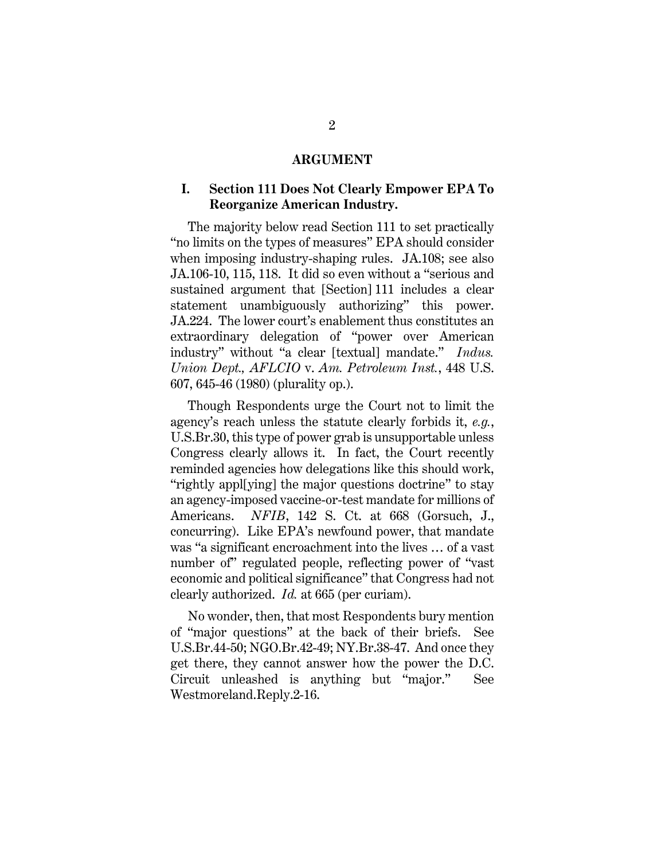#### **ARGUMENT**

## **I. Section 111 Does Not Clearly Empower EPA To Reorganize American Industry.**

The majority below read Section 111 to set practically "no limits on the types of measures" EPA should consider when imposing industry-shaping rules. JA.108; see also JA.106-10, 115, 118. It did so even without a "serious and sustained argument that [Section] 111 includes a clear statement unambiguously authorizing" this power. JA.224. The lower court's enablement thus constitutes an extraordinary delegation of "power over American industry" without "a clear [textual] mandate." *Indus. Union Dept., AFLCIO* v. *Am. Petroleum Inst.*, 448 U.S. 607, 645-46 (1980) (plurality op.).

Though Respondents urge the Court not to limit the agency's reach unless the statute clearly forbids it, *e.g.*, U.S.Br.30, this type of power grab is unsupportable unless Congress clearly allows it. In fact, the Court recently reminded agencies how delegations like this should work, "rightly appl[ying] the major questions doctrine" to stay an agency-imposed vaccine-or-test mandate for millions of Americans. *NFIB*, 142 S. Ct. at 668 (Gorsuch, J., concurring). Like EPA's newfound power, that mandate was "a significant encroachment into the lives … of a vast number of" regulated people, reflecting power of "vast economic and political significance" that Congress had not clearly authorized. *Id.* at 665 (per curiam).

No wonder, then, that most Respondents bury mention of "major questions" at the back of their briefs. See U.S.Br.44-50; NGO.Br.42-49; NY.Br.38-47. And once they get there, they cannot answer how the power the D.C. Circuit unleashed is anything but "major." See Westmoreland.Reply.2-16.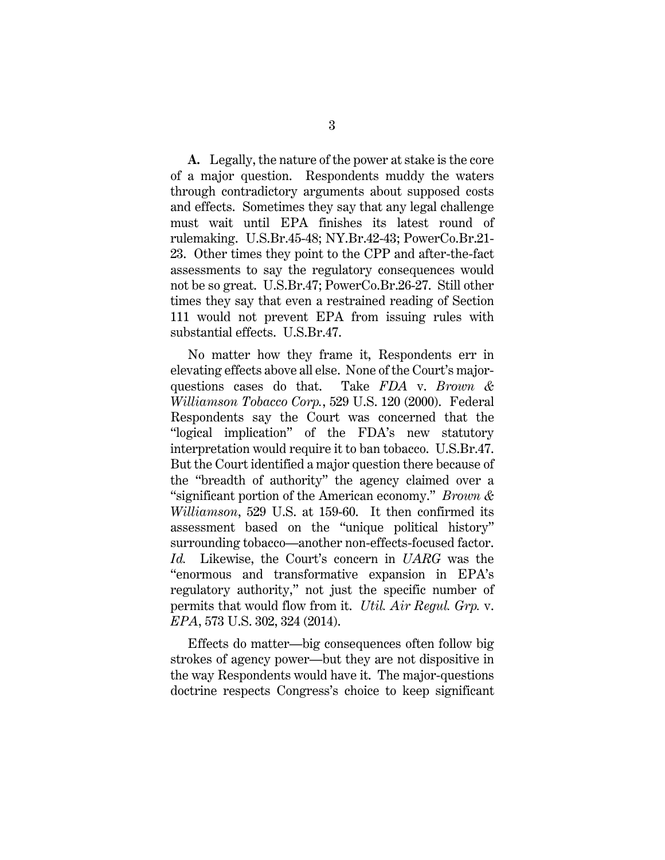**A.** Legally, the nature of the power at stake is the core of a major question. Respondents muddy the waters through contradictory arguments about supposed costs and effects. Sometimes they say that any legal challenge must wait until EPA finishes its latest round of rulemaking. U.S.Br.45-48; NY.Br.42-43; PowerCo.Br.21- 23. Other times they point to the CPP and after-the-fact assessments to say the regulatory consequences would not be so great. U.S.Br.47; PowerCo.Br.26-27. Still other times they say that even a restrained reading of Section 111 would not prevent EPA from issuing rules with substantial effects. U.S.Br.47.

No matter how they frame it, Respondents err in elevating effects above all else. None of the Court's majorquestions cases do that. Take *FDA* v. *Brown & Williamson Tobacco Corp.*, 529 U.S. 120 (2000). Federal Respondents say the Court was concerned that the "logical implication" of the FDA's new statutory interpretation would require it to ban tobacco. U.S.Br.47. But the Court identified a major question there because of the "breadth of authority" the agency claimed over a "significant portion of the American economy." *Brown & Williamson*, 529 U.S. at 159-60. It then confirmed its assessment based on the "unique political history" surrounding tobacco—another non-effects-focused factor. *Id.* Likewise, the Court's concern in *UARG* was the "enormous and transformative expansion in EPA's regulatory authority," not just the specific number of permits that would flow from it. *Util. Air Regul. Grp.* v. *EPA*, 573 U.S. 302, 324 (2014).

Effects do matter—big consequences often follow big strokes of agency power—but they are not dispositive in the way Respondents would have it. The major-questions doctrine respects Congress's choice to keep significant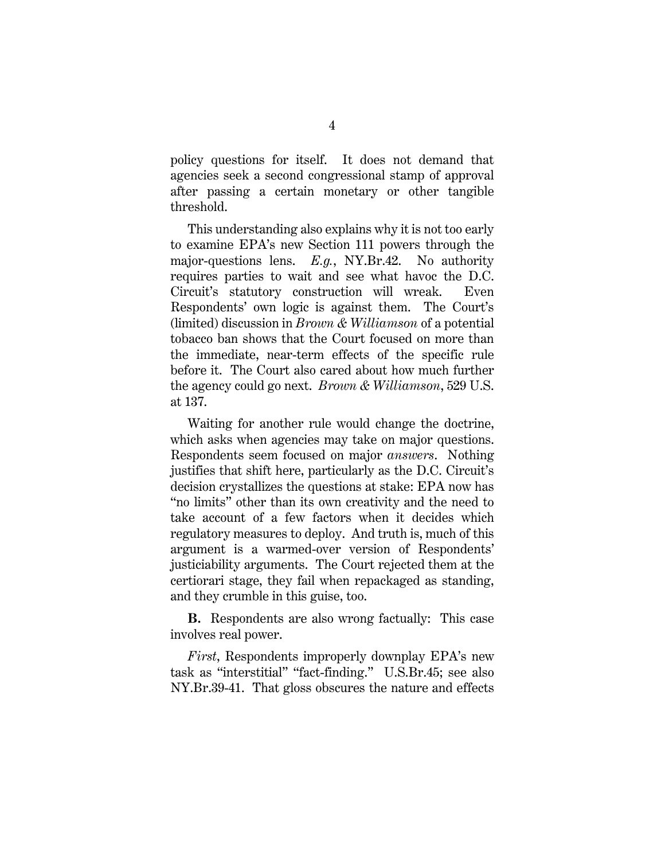policy questions for itself. It does not demand that agencies seek a second congressional stamp of approval after passing a certain monetary or other tangible threshold.

This understanding also explains why it is not too early to examine EPA's new Section 111 powers through the major-questions lens. *E.g.*, NY.Br.42. No authority requires parties to wait and see what havoc the D.C. Circuit's statutory construction will wreak. Even Respondents' own logic is against them. The Court's (limited) discussion in *Brown & Williamson* of a potential tobacco ban shows that the Court focused on more than the immediate, near-term effects of the specific rule before it. The Court also cared about how much further the agency could go next. *Brown & Williamson*, 529 U.S. at 137.

Waiting for another rule would change the doctrine, which asks when agencies may take on major questions. Respondents seem focused on major *answers*. Nothing justifies that shift here, particularly as the D.C. Circuit's decision crystallizes the questions at stake: EPA now has "no limits" other than its own creativity and the need to take account of a few factors when it decides which regulatory measures to deploy. And truth is, much of this argument is a warmed-over version of Respondents' justiciability arguments. The Court rejected them at the certiorari stage, they fail when repackaged as standing, and they crumble in this guise, too.

**B.** Respondents are also wrong factually: This case involves real power.

*First*, Respondents improperly downplay EPA's new task as "interstitial" "fact-finding." U.S.Br.45; see also NY.Br.39-41. That gloss obscures the nature and effects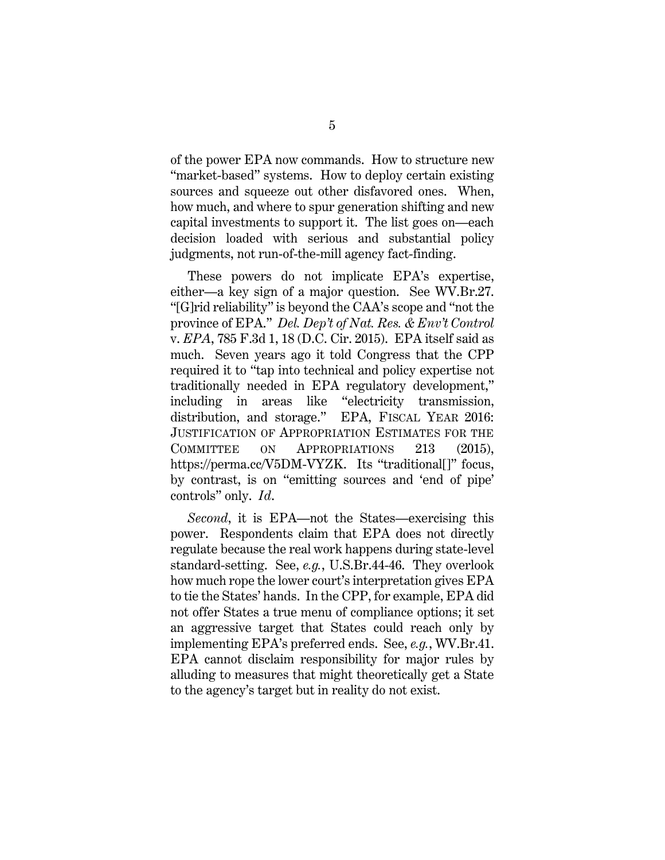of the power EPA now commands. How to structure new "market-based" systems. How to deploy certain existing sources and squeeze out other disfavored ones. When, how much, and where to spur generation shifting and new capital investments to support it. The list goes on—each decision loaded with serious and substantial policy judgments, not run-of-the-mill agency fact-finding.

These powers do not implicate EPA's expertise, either—a key sign of a major question. See WV.Br.27. "[G]rid reliability" is beyond the CAA's scope and "not the province of EPA." *Del. Dep't of Nat. Res. & Env't Control* v. *EPA*, 785 F.3d 1, 18 (D.C. Cir. 2015). EPA itself said as much. Seven years ago it told Congress that the CPP required it to "tap into technical and policy expertise not traditionally needed in EPA regulatory development," including in areas like "electricity transmission, distribution, and storage." EPA, FISCAL YEAR 2016: JUSTIFICATION OF APPROPRIATION ESTIMATES FOR THE COMMITTEE ON APPROPRIATIONS 213 (2015), https://perma.cc/V5DM-VYZK. Its "traditional..." focus, by contrast, is on "emitting sources and 'end of pipe' controls" only. *Id*.

*Second*, it is EPA—not the States—exercising this power. Respondents claim that EPA does not directly regulate because the real work happens during state-level standard-setting. See, *e.g.*, U.S.Br.44-46. They overlook how much rope the lower court's interpretation gives EPA to tie the States' hands. In the CPP, for example, EPA did not offer States a true menu of compliance options; it set an aggressive target that States could reach only by implementing EPA's preferred ends. See, *e.g.*, WV.Br.41. EPA cannot disclaim responsibility for major rules by alluding to measures that might theoretically get a State to the agency's target but in reality do not exist.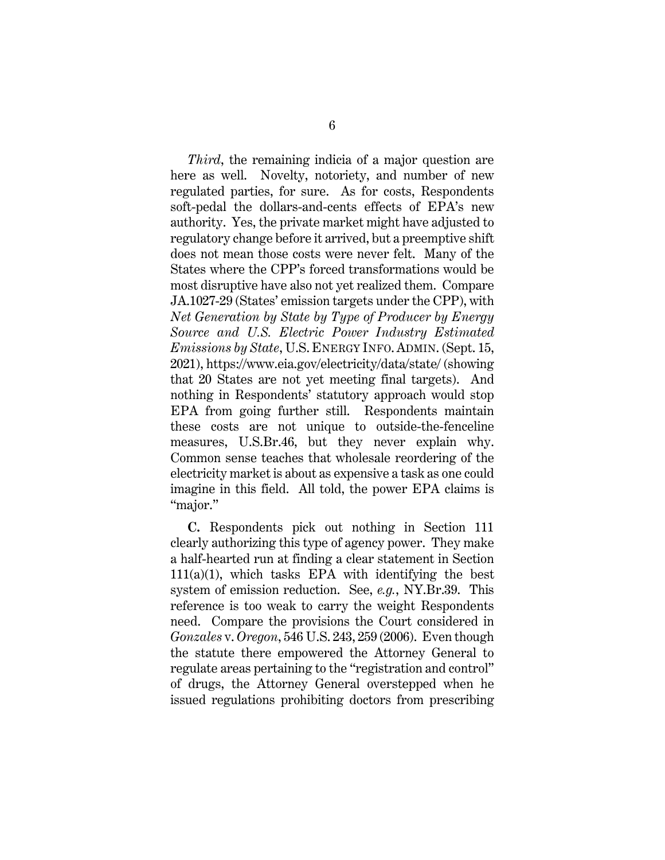*Third*, the remaining indicia of a major question are here as well. Novelty, notoriety, and number of new regulated parties, for sure. As for costs, Respondents soft-pedal the dollars-and-cents effects of EPA's new authority. Yes, the private market might have adjusted to regulatory change before it arrived, but a preemptive shift does not mean those costs were never felt. Many of the States where the CPP's forced transformations would be most disruptive have also not yet realized them. Compare JA.1027-29 (States' emission targets under the CPP), with *Net Generation by State by Type of Producer by Energy Source and U.S. Electric Power Industry Estimated Emissions by State*, U.S. ENERGY INFO. ADMIN. (Sept. 15, 2021), https://www.eia.gov/electricity/data/state/ (showing that 20 States are not yet meeting final targets). And nothing in Respondents' statutory approach would stop EPA from going further still. Respondents maintain these costs are not unique to outside-the-fenceline measures, U.S.Br.46, but they never explain why. Common sense teaches that wholesale reordering of the electricity market is about as expensive a task as one could imagine in this field. All told, the power EPA claims is "major."

**C.** Respondents pick out nothing in Section 111 clearly authorizing this type of agency power. They make a half-hearted run at finding a clear statement in Section  $111(a)(1)$ , which tasks EPA with identifying the best system of emission reduction. See, *e.g.*, NY.Br.39. This reference is too weak to carry the weight Respondents need. Compare the provisions the Court considered in *Gonzales* v. *Oregon*, 546 U.S. 243, 259 (2006). Even though the statute there empowered the Attorney General to regulate areas pertaining to the "registration and control" of drugs, the Attorney General overstepped when he issued regulations prohibiting doctors from prescribing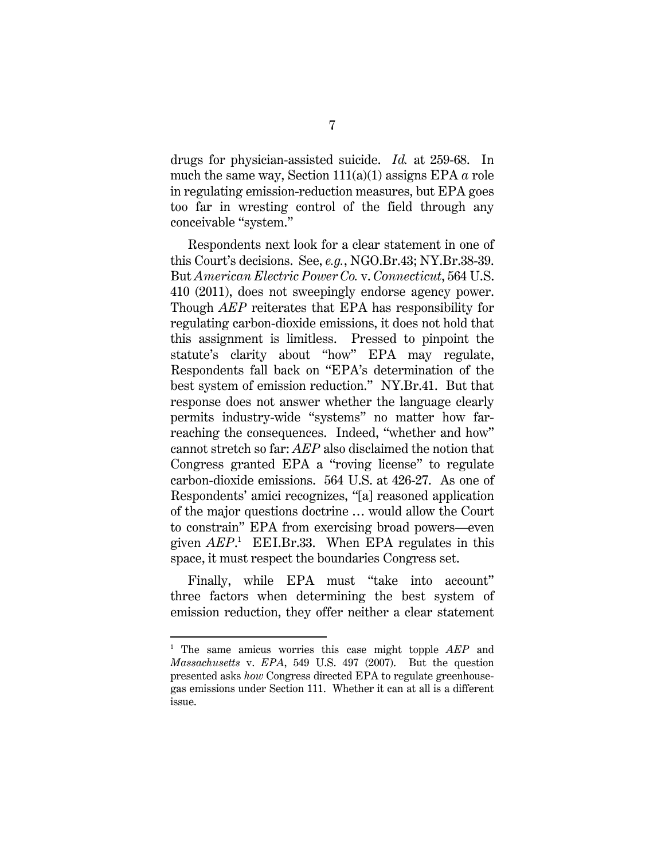drugs for physician-assisted suicide. *Id.* at 259-68. In much the same way, Section 111(a)(1) assigns EPA *a* role in regulating emission-reduction measures, but EPA goes too far in wresting control of the field through any conceivable "system."

Respondents next look for a clear statement in one of this Court's decisions. See, *e.g.*, NGO.Br.43; NY.Br.38-39. But *American Electric Power Co.* v. *Connecticut*, 564 U.S. 410 (2011), does not sweepingly endorse agency power. Though *AEP* reiterates that EPA has responsibility for regulating carbon-dioxide emissions, it does not hold that this assignment is limitless. Pressed to pinpoint the statute's clarity about "how" EPA may regulate, Respondents fall back on "EPA's determination of the best system of emission reduction." NY.Br.41. But that response does not answer whether the language clearly permits industry-wide "systems" no matter how farreaching the consequences. Indeed, "whether and how" cannot stretch so far: *AEP* also disclaimed the notion that Congress granted EPA a "roving license" to regulate carbon-dioxide emissions. 564 U.S. at 426-27. As one of Respondents' amici recognizes, "[a] reasoned application of the major questions doctrine … would allow the Court to constrain" EPA from exercising broad powers—even given  $AEP$ <sup>1</sup> EEI.Br.33. When EPA regulates in this space, it must respect the boundaries Congress set.

Finally, while EPA must "take into account" three factors when determining the best system of emission reduction, they offer neither a clear statement

<sup>1</sup> The same amicus worries this case might topple *AEP* and *Massachusetts* v. *EPA*, 549 U.S. 497 (2007). But the question presented asks *how* Congress directed EPA to regulate greenhousegas emissions under Section 111. Whether it can at all is a different issue.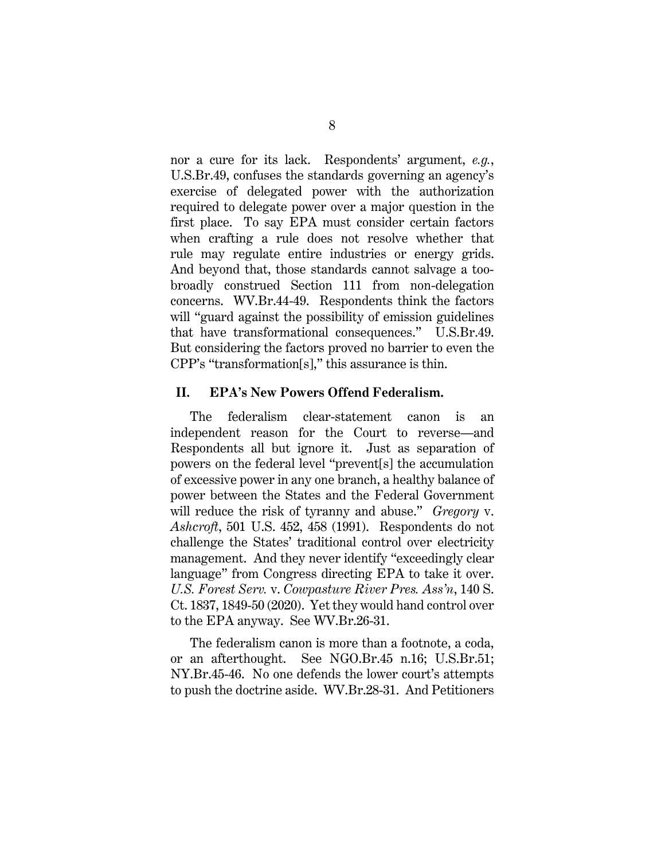nor a cure for its lack. Respondents' argument, *e.g.*, U.S.Br.49, confuses the standards governing an agency's exercise of delegated power with the authorization required to delegate power over a major question in the first place. To say EPA must consider certain factors when crafting a rule does not resolve whether that rule may regulate entire industries or energy grids. And beyond that, those standards cannot salvage a toobroadly construed Section 111 from non-delegation concerns. WV.Br.44-49. Respondents think the factors will "guard against the possibility of emission guidelines that have transformational consequences." U.S.Br.49. But considering the factors proved no barrier to even the CPP's "transformation[s]," this assurance is thin.

#### **II. EPA's New Powers Offend Federalism.**

The federalism clear-statement canon is an independent reason for the Court to reverse—and Respondents all but ignore it. Just as separation of powers on the federal level "prevent[s] the accumulation of excessive power in any one branch, a healthy balance of power between the States and the Federal Government will reduce the risk of tyranny and abuse." *Gregory* v. *Ashcroft*, 501 U.S. 452, 458 (1991). Respondents do not challenge the States' traditional control over electricity management. And they never identify "exceedingly clear language" from Congress directing EPA to take it over. *U.S. Forest Serv.* v. *Cowpasture River Pres. Ass'n*, 140 S. Ct. 1837, 1849-50 (2020). Yet they would hand control over to the EPA anyway. See WV.Br.26-31.

The federalism canon is more than a footnote, a coda, or an afterthought. See NGO.Br.45 n.16; U.S.Br.51; NY.Br.45-46. No one defends the lower court's attempts to push the doctrine aside. WV.Br.28-31. And Petitioners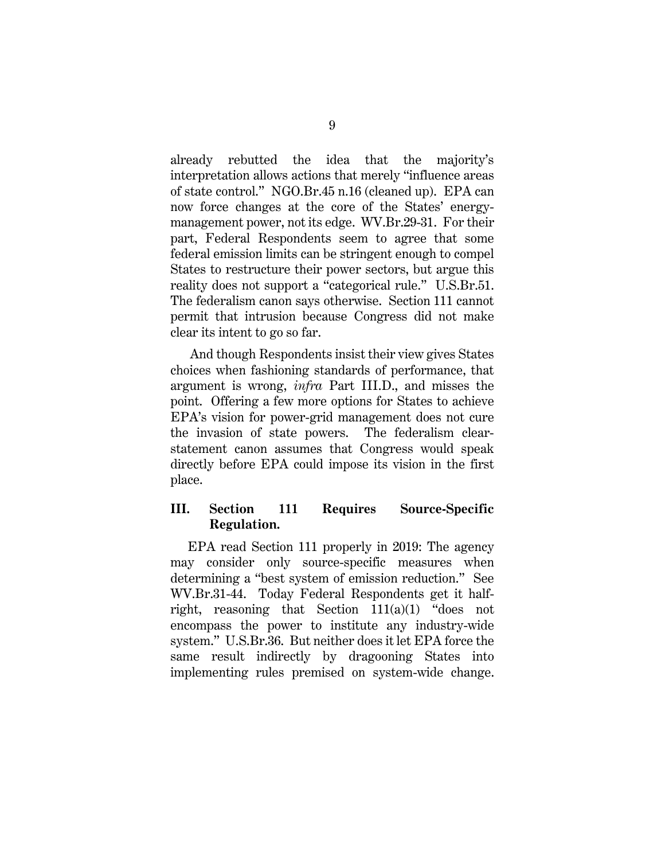already rebutted the idea that the majority's interpretation allows actions that merely "influence areas of state control." NGO.Br.45 n.16 (cleaned up). EPA can now force changes at the core of the States' energymanagement power, not its edge. WV.Br.29-31. For their part, Federal Respondents seem to agree that some federal emission limits can be stringent enough to compel States to restructure their power sectors, but argue this reality does not support a "categorical rule." U.S.Br.51. The federalism canon says otherwise. Section 111 cannot permit that intrusion because Congress did not make clear its intent to go so far.

And though Respondents insist their view gives States choices when fashioning standards of performance, that argument is wrong, *infra* Part III.D., and misses the point. Offering a few more options for States to achieve EPA's vision for power-grid management does not cure the invasion of state powers. The federalism clearstatement canon assumes that Congress would speak directly before EPA could impose its vision in the first place.

## **III. Section 111 Requires Source-Specific Regulation.**

EPA read Section 111 properly in 2019: The agency may consider only source-specific measures when determining a "best system of emission reduction." See WV.Br.31-44. Today Federal Respondents get it halfright, reasoning that Section 111(a)(1) "does not encompass the power to institute any industry-wide system." U.S.Br.36. But neither does it let EPA force the same result indirectly by dragooning States into implementing rules premised on system-wide change.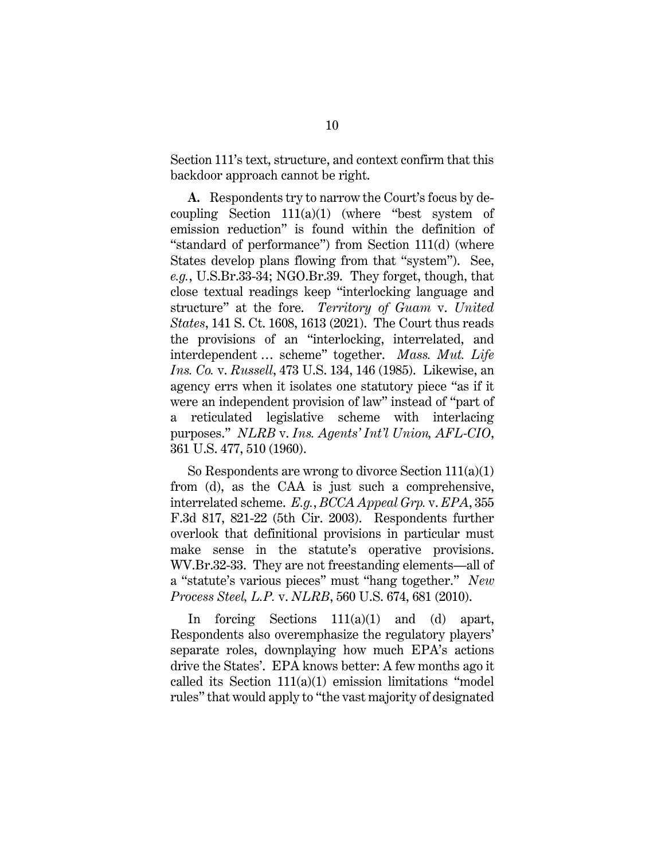Section 111's text, structure, and context confirm that this backdoor approach cannot be right.

**A.** Respondents try to narrow the Court's focus by decoupling Section  $111(a)(1)$  (where "best system of emission reduction" is found within the definition of "standard of performance") from Section 111(d) (where States develop plans flowing from that "system"). See, *e.g.*, U.S.Br.33-34; NGO.Br.39. They forget, though, that close textual readings keep "interlocking language and structure" at the fore. *Territory of Guam* v. *United States*, 141 S. Ct. 1608, 1613 (2021). The Court thus reads the provisions of an "interlocking, interrelated, and interdependent … scheme" together. *Mass. Mut. Life Ins. Co.* v. *Russell*, 473 U.S. 134, 146 (1985). Likewise, an agency errs when it isolates one statutory piece "as if it were an independent provision of law" instead of "part of a reticulated legislative scheme with interlacing purposes." *NLRB* v. *Ins. Agents' Int'l Union, AFL-CIO*, 361 U.S. 477, 510 (1960).

So Respondents are wrong to divorce Section 111(a)(1) from (d), as the CAA is just such a comprehensive, interrelated scheme. *E.g.*, *BCCA Appeal Grp.* v. *EPA*, 355 F.3d 817, 821-22 (5th Cir. 2003). Respondents further overlook that definitional provisions in particular must make sense in the statute's operative provisions. WV.Br.32-33. They are not freestanding elements—all of a "statute's various pieces" must "hang together." *New Process Steel, L.P.* v. *NLRB*, 560 U.S. 674, 681 (2010).

In forcing Sections 111(a)(1) and (d) apart, Respondents also overemphasize the regulatory players' separate roles, downplaying how much EPA's actions drive the States'. EPA knows better: A few months ago it called its Section  $111(a)(1)$  emission limitations "model rules" that would apply to "the vast majority of designated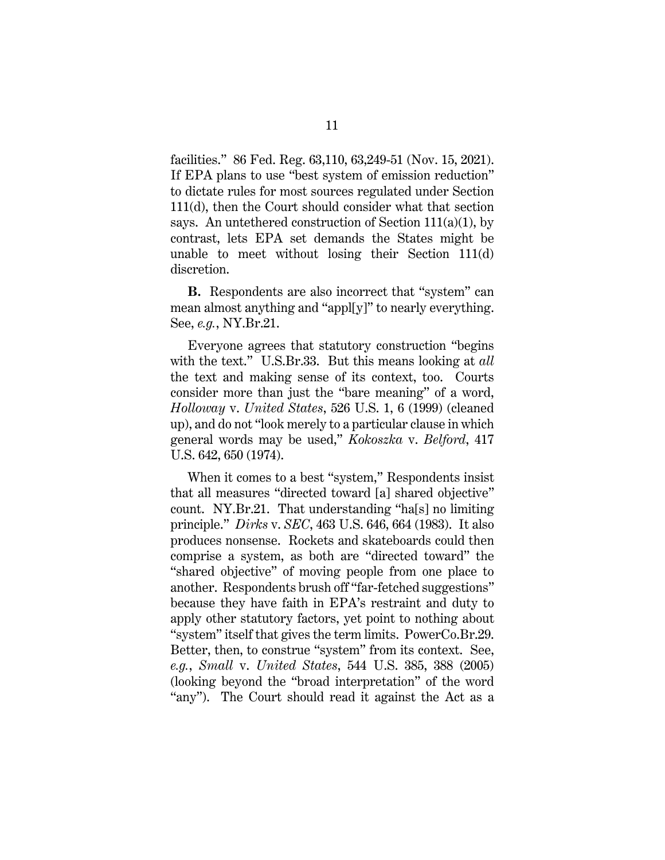facilities." 86 Fed. Reg. 63,110, 63,249-51 (Nov. 15, 2021). If EPA plans to use "best system of emission reduction" to dictate rules for most sources regulated under Section 111(d), then the Court should consider what that section says. An untethered construction of Section  $111(a)(1)$ , by contrast, lets EPA set demands the States might be unable to meet without losing their Section 111(d) discretion.

**B.** Respondents are also incorrect that "system" can mean almost anything and "appl[y]" to nearly everything. See, *e.g.*, NY.Br.21.

Everyone agrees that statutory construction "begins with the text." U.S.Br.33. But this means looking at *all* the text and making sense of its context, too. Courts consider more than just the "bare meaning" of a word, *Holloway* v. *United States*, 526 U.S. 1, 6 (1999) (cleaned up), and do not "look merely to a particular clause in which general words may be used," *Kokoszka* v. *Belford*, 417 U.S. 642, 650 (1974).

When it comes to a best "system," Respondents insist that all measures "directed toward [a] shared objective" count. NY.Br.21. That understanding "ha[s] no limiting principle." *Dirks* v. *SEC*, 463 U.S. 646, 664 (1983). It also produces nonsense. Rockets and skateboards could then comprise a system, as both are "directed toward" the "shared objective" of moving people from one place to another. Respondents brush off "far-fetched suggestions" because they have faith in EPA's restraint and duty to apply other statutory factors, yet point to nothing about "system" itself that gives the term limits. PowerCo.Br.29. Better, then, to construe "system" from its context. See, *e.g.*, *Small* v. *United States*, 544 U.S. 385, 388 (2005) (looking beyond the "broad interpretation" of the word "any"). The Court should read it against the Act as a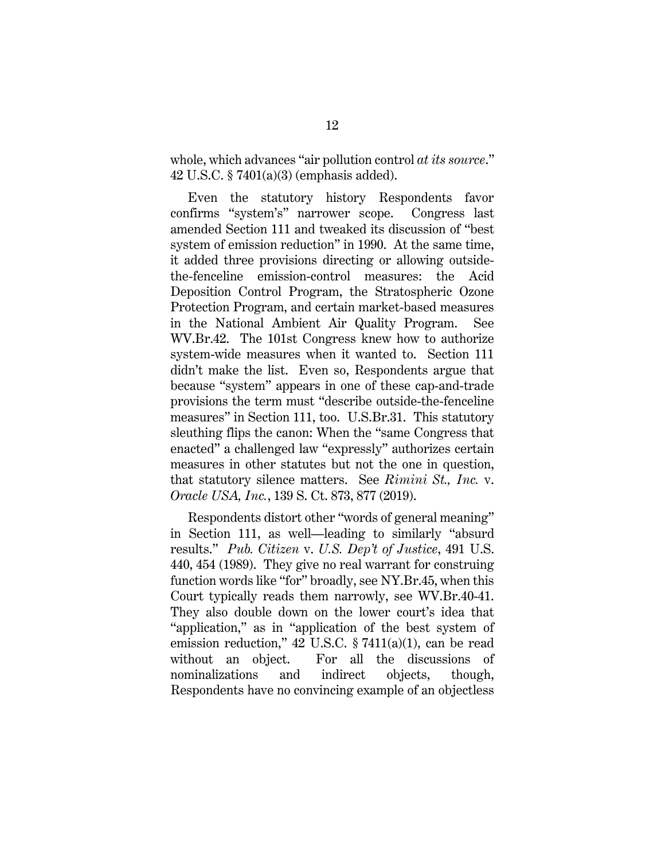whole, which advances "air pollution control *at its source*." 42 U.S.C. § 7401(a)(3) (emphasis added).

Even the statutory history Respondents favor confirms "system's" narrower scope. Congress last amended Section 111 and tweaked its discussion of "best system of emission reduction" in 1990. At the same time, it added three provisions directing or allowing outsidethe-fenceline emission-control measures: the Acid Deposition Control Program, the Stratospheric Ozone Protection Program, and certain market-based measures in the National Ambient Air Quality Program. See WV.Br.42. The 101st Congress knew how to authorize system-wide measures when it wanted to. Section 111 didn't make the list. Even so, Respondents argue that because "system" appears in one of these cap-and-trade provisions the term must "describe outside-the-fenceline measures" in Section 111, too. U.S.Br.31. This statutory sleuthing flips the canon: When the "same Congress that enacted" a challenged law "expressly" authorizes certain measures in other statutes but not the one in question, that statutory silence matters. See *Rimini St., Inc.* v. *Oracle USA, Inc.*, 139 S. Ct. 873, 877 (2019).

Respondents distort other "words of general meaning" in Section 111, as well—leading to similarly "absurd results." *Pub. Citizen* v. *U.S. Dep't of Justice*, 491 U.S. 440, 454 (1989). They give no real warrant for construing function words like "for" broadly, see NY.Br.45, when this Court typically reads them narrowly, see WV.Br.40-41. They also double down on the lower court's idea that "application," as in "application of the best system of emission reduction," 42 U.S.C. § 7411(a)(1), can be read without an object. For all the discussions of nominalizations and indirect objects, though, Respondents have no convincing example of an objectless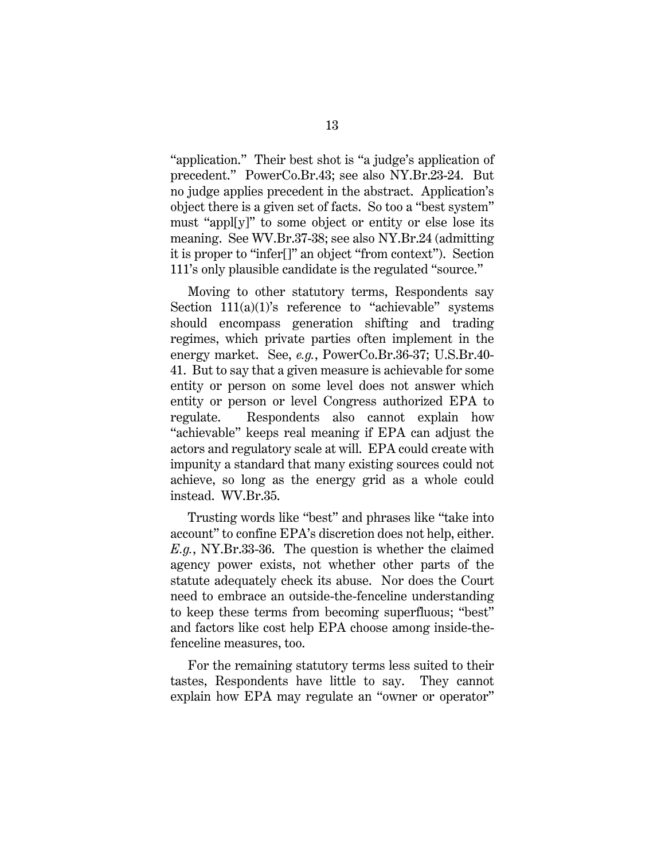"application." Their best shot is "a judge's application of precedent." PowerCo.Br.43; see also NY.Br.23-24. But no judge applies precedent in the abstract. Application's object there is a given set of facts. So too a "best system" must "appl[y]" to some object or entity or else lose its meaning. See WV.Br.37-38; see also NY.Br.24 (admitting it is proper to "infer[]" an object "from context"). Section 111's only plausible candidate is the regulated "source."

Moving to other statutory terms, Respondents say Section 111(a)(1)'s reference to "achievable" systems should encompass generation shifting and trading regimes, which private parties often implement in the energy market. See, *e.g.*, PowerCo.Br.36-37; U.S.Br.40- 41. But to say that a given measure is achievable for some entity or person on some level does not answer which entity or person or level Congress authorized EPA to regulate. Respondents also cannot explain how "achievable" keeps real meaning if EPA can adjust the actors and regulatory scale at will. EPA could create with impunity a standard that many existing sources could not achieve, so long as the energy grid as a whole could instead. WV.Br.35.

Trusting words like "best" and phrases like "take into account" to confine EPA's discretion does not help, either. *E.g.*, NY.Br.33-36. The question is whether the claimed agency power exists, not whether other parts of the statute adequately check its abuse. Nor does the Court need to embrace an outside-the-fenceline understanding to keep these terms from becoming superfluous; "best" and factors like cost help EPA choose among inside-thefenceline measures, too.

For the remaining statutory terms less suited to their tastes, Respondents have little to say. They cannot explain how EPA may regulate an "owner or operator"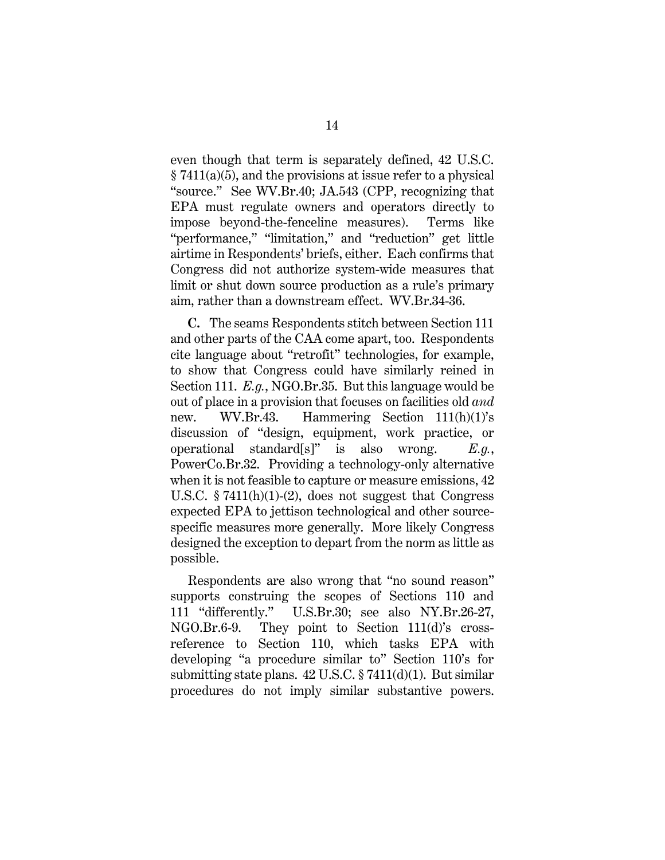even though that term is separately defined, 42 U.S.C. § 7411(a)(5), and the provisions at issue refer to a physical "source." See WV.Br.40; JA.543 (CPP, recognizing that EPA must regulate owners and operators directly to impose beyond-the-fenceline measures). Terms like "performance," "limitation," and "reduction" get little airtime in Respondents' briefs, either. Each confirms that Congress did not authorize system-wide measures that limit or shut down source production as a rule's primary aim, rather than a downstream effect. WV.Br.34-36.

**C.** The seams Respondents stitch between Section 111 and other parts of the CAA come apart, too. Respondents cite language about "retrofit" technologies, for example, to show that Congress could have similarly reined in Section 111. *E.g.*, NGO.Br.35. But this language would be out of place in a provision that focuses on facilities old *and*  new. WV.Br.43. Hammering Section 111(h)(1)'s discussion of "design, equipment, work practice, or operational standard[s]" is also wrong. *E.g.*, PowerCo.Br.32. Providing a technology-only alternative when it is not feasible to capture or measure emissions, 42 U.S.C.  $$7411(h)(1)-(2)$ , does not suggest that Congress expected EPA to jettison technological and other sourcespecific measures more generally. More likely Congress designed the exception to depart from the norm as little as possible.

Respondents are also wrong that "no sound reason" supports construing the scopes of Sections 110 and 111 "differently." U.S.Br.30; see also NY.Br.26-27, NGO.Br.6-9. They point to Section 111(d)'s crossreference to Section 110, which tasks EPA with developing "a procedure similar to" Section 110's for submitting state plans.  $42 \text{ U.S.C.} \$   $7411(d)(1)$ . But similar procedures do not imply similar substantive powers.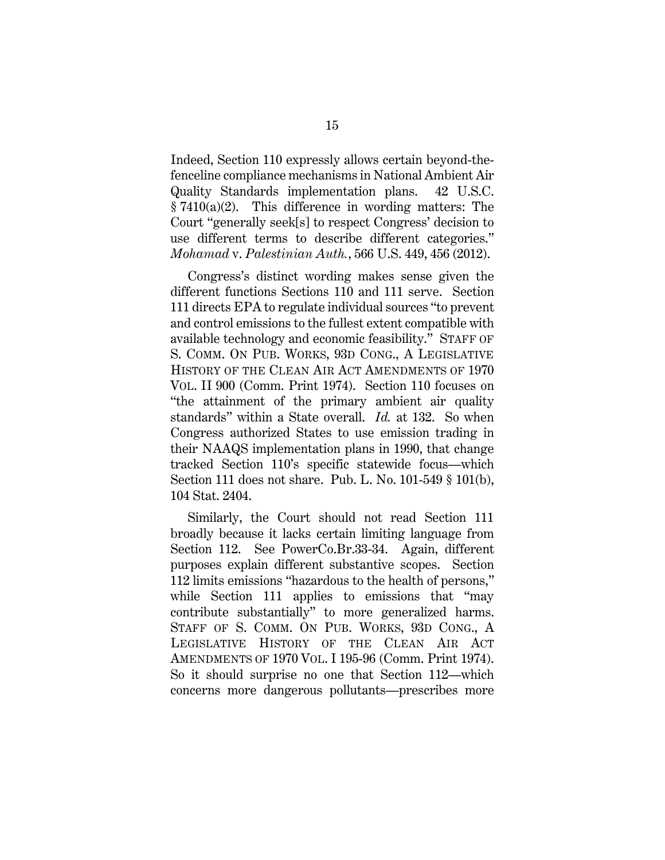Indeed, Section 110 expressly allows certain beyond-thefenceline compliance mechanisms in National Ambient Air Quality Standards implementation plans. 42 U.S.C. § 7410(a)(2). This difference in wording matters: The Court "generally seek[s] to respect Congress' decision to use different terms to describe different categories." *Mohamad* v. *Palestinian Auth.*, 566 U.S. 449, 456 (2012).

Congress's distinct wording makes sense given the different functions Sections 110 and 111 serve. Section 111 directs EPA to regulate individual sources "to prevent and control emissions to the fullest extent compatible with available technology and economic feasibility." STAFF OF S. COMM. ON PUB. WORKS, 93D CONG., A LEGISLATIVE HISTORY OF THE CLEAN AIR ACT AMENDMENTS OF 1970 VOL. II 900 (Comm. Print 1974). Section 110 focuses on "the attainment of the primary ambient air quality standards" within a State overall. *Id.* at 132. So when Congress authorized States to use emission trading in their NAAQS implementation plans in 1990, that change tracked Section 110's specific statewide focus—which Section 111 does not share. Pub. L. No. 101-549 § 101(b), 104 Stat. 2404.

Similarly, the Court should not read Section 111 broadly because it lacks certain limiting language from Section 112. See PowerCo.Br.33-34. Again, different purposes explain different substantive scopes. Section 112 limits emissions "hazardous to the health of persons," while Section 111 applies to emissions that "may" contribute substantially" to more generalized harms. STAFF OF S. COMM. ON PUB. WORKS, 93D CONG., A LEGISLATIVE HISTORY OF THE CLEAN AIR ACT AMENDMENTS OF 1970 VOL. I 195-96 (Comm. Print 1974). So it should surprise no one that Section 112—which concerns more dangerous pollutants—prescribes more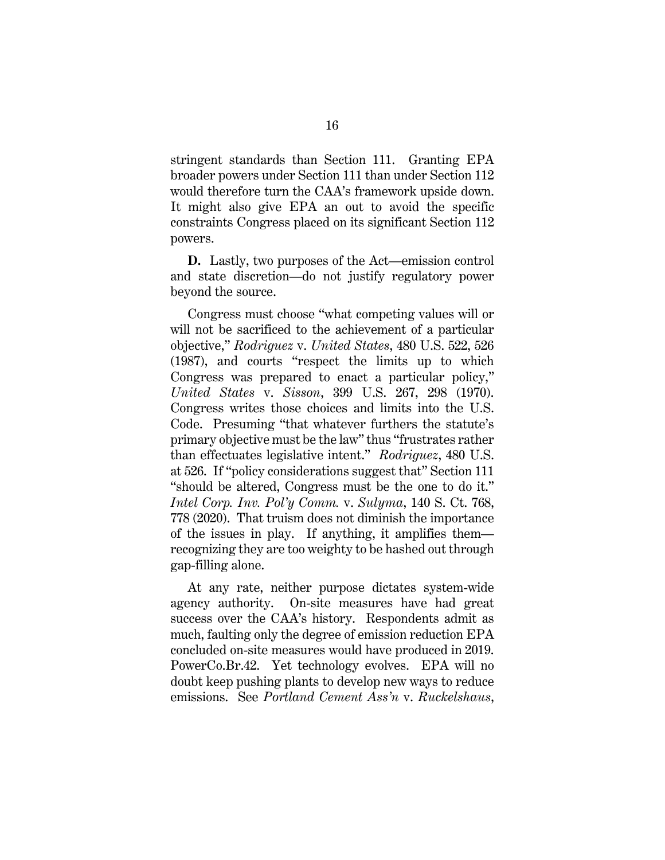stringent standards than Section 111. Granting EPA broader powers under Section 111 than under Section 112 would therefore turn the CAA's framework upside down. It might also give EPA an out to avoid the specific constraints Congress placed on its significant Section 112 powers.

**D.** Lastly, two purposes of the Act—emission control and state discretion—do not justify regulatory power beyond the source.

Congress must choose "what competing values will or will not be sacrificed to the achievement of a particular objective," *Rodriguez* v. *United States*, 480 U.S. 522, 526 (1987), and courts "respect the limits up to which Congress was prepared to enact a particular policy," *United States* v. *Sisson*, 399 U.S. 267, 298 (1970). Congress writes those choices and limits into the U.S. Code. Presuming "that whatever furthers the statute's primary objective must be the law" thus "frustrates rather than effectuates legislative intent." *Rodriguez*, 480 U.S. at 526. If "policy considerations suggest that" Section 111 "should be altered, Congress must be the one to do it." *Intel Corp. Inv. Pol'y Comm.* v. *Sulyma*, 140 S. Ct. 768, 778 (2020). That truism does not diminish the importance of the issues in play. If anything, it amplifies them recognizing they are too weighty to be hashed out through gap-filling alone.

At any rate, neither purpose dictates system-wide agency authority. On-site measures have had great success over the CAA's history. Respondents admit as much, faulting only the degree of emission reduction EPA concluded on-site measures would have produced in 2019. PowerCo.Br.42. Yet technology evolves. EPA will no doubt keep pushing plants to develop new ways to reduce emissions. See *Portland Cement Ass'n* v. *Ruckelshaus*,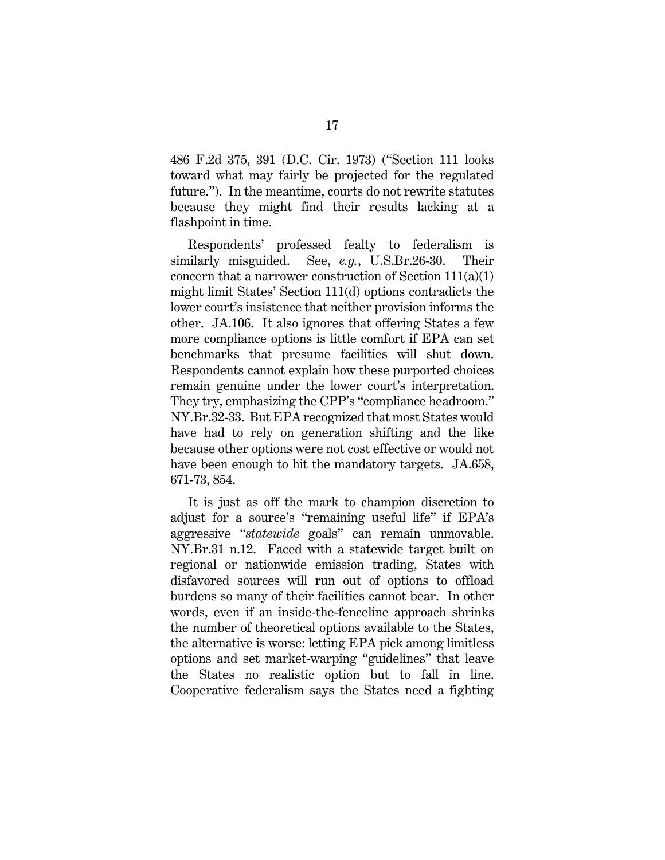486 F.2d 375, 391 (D.C. Cir. 1973) ("Section 111 looks toward what may fairly be projected for the regulated future."). In the meantime, courts do not rewrite statutes because they might find their results lacking at a flashpoint in time.

Respondents' professed fealty to federalism is similarly misguided. See, *e.g.*, U.S.Br.26-30. Their concern that a narrower construction of Section 111(a)(1) might limit States' Section 111(d) options contradicts the lower court's insistence that neither provision informs the other. JA.106. It also ignores that offering States a few more compliance options is little comfort if EPA can set benchmarks that presume facilities will shut down. Respondents cannot explain how these purported choices remain genuine under the lower court's interpretation. They try, emphasizing the CPP's "compliance headroom." NY.Br.32-33. But EPA recognized that most States would have had to rely on generation shifting and the like because other options were not cost effective or would not have been enough to hit the mandatory targets. JA.658, 671-73, 854.

It is just as off the mark to champion discretion to adjust for a source's "remaining useful life" if EPA's aggressive "*statewide* goals" can remain unmovable. NY.Br.31 n.12. Faced with a statewide target built on regional or nationwide emission trading, States with disfavored sources will run out of options to offload burdens so many of their facilities cannot bear. In other words, even if an inside-the-fenceline approach shrinks the number of theoretical options available to the States, the alternative is worse: letting EPA pick among limitless options and set market-warping "guidelines" that leave the States no realistic option but to fall in line. Cooperative federalism says the States need a fighting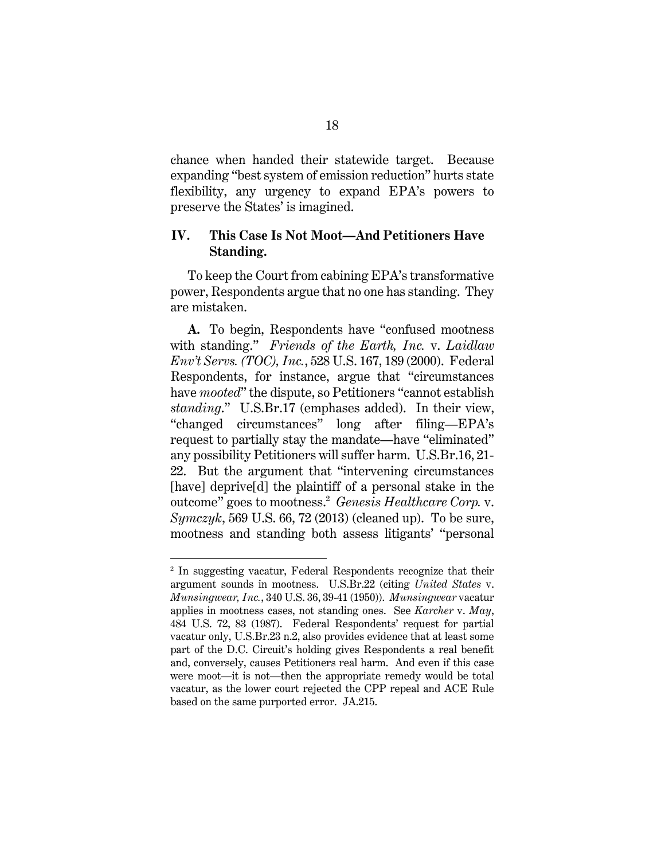chance when handed their statewide target. Because expanding "best system of emission reduction" hurts state flexibility, any urgency to expand EPA's powers to preserve the States' is imagined.

## **IV. This Case Is Not Moot—And Petitioners Have Standing.**

To keep the Court from cabining EPA's transformative power, Respondents argue that no one has standing. They are mistaken.

**A.** To begin, Respondents have "confused mootness with standing." *Friends of the Earth, Inc.* v. *Laidlaw Env't Servs. (TOC), Inc.*, 528 U.S. 167, 189 (2000). Federal Respondents, for instance, argue that "circumstances have *mooted*" the dispute, so Petitioners "cannot establish *standing*." U.S.Br.17 (emphases added). In their view, "changed circumstances" long after filing—EPA's request to partially stay the mandate—have "eliminated" any possibility Petitioners will suffer harm. U.S.Br.16, 21- 22. But the argument that "intervening circumstances [have] deprive[d] the plaintiff of a personal stake in the outcome" goes to mootness.<sup>2</sup> *Genesis Healthcare Corp.* v. *Symczyk*, 569 U.S. 66, 72 (2013) (cleaned up). To be sure, mootness and standing both assess litigants' "personal

<sup>2</sup> In suggesting vacatur, Federal Respondents recognize that their argument sounds in mootness. U.S.Br.22 (citing *United States* v. *Munsingwear, Inc.*, 340 U.S. 36, 39-41 (1950)). *Munsingwear* vacatur applies in mootness cases, not standing ones. See *Karcher* v. *May*, 484 U.S. 72, 83 (1987). Federal Respondents' request for partial vacatur only, U.S.Br.23 n.2, also provides evidence that at least some part of the D.C. Circuit's holding gives Respondents a real benefit and, conversely, causes Petitioners real harm. And even if this case were moot—it is not—then the appropriate remedy would be total vacatur, as the lower court rejected the CPP repeal and ACE Rule based on the same purported error. JA.215.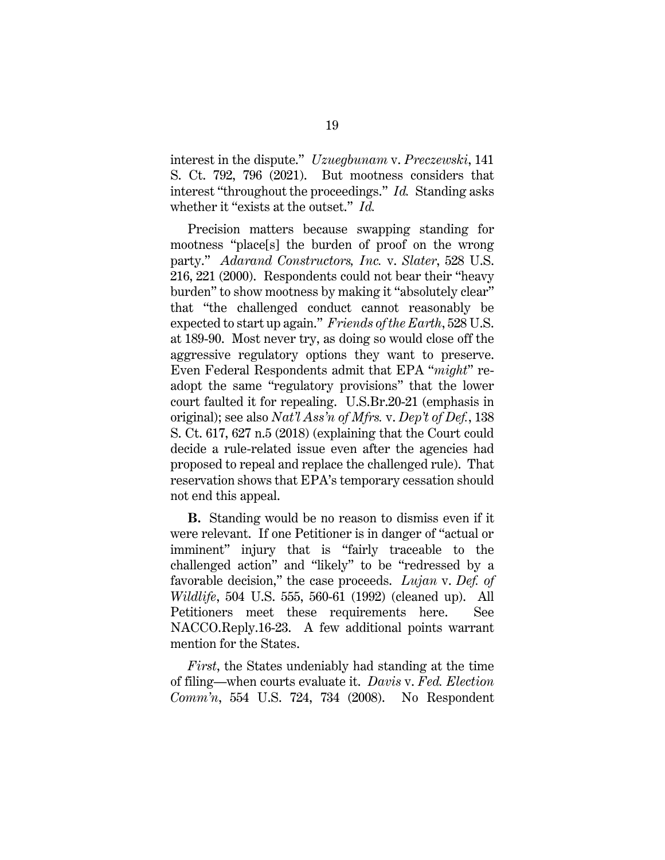interest in the dispute." *Uzuegbunam* v. *Preczewski*, 141 S. Ct. 792, 796 (2021). But mootness considers that interest "throughout the proceedings." *Id.* Standing asks whether it "exists at the outset." *Id.*

Precision matters because swapping standing for mootness "place[s] the burden of proof on the wrong party." *Adarand Constructors, Inc.* v. *Slater*, 528 U.S. 216, 221 (2000). Respondents could not bear their "heavy burden" to show mootness by making it "absolutely clear" that "the challenged conduct cannot reasonably be expected to start up again." *Friends of the Earth*, 528 U.S. at 189-90. Most never try, as doing so would close off the aggressive regulatory options they want to preserve. Even Federal Respondents admit that EPA "*might*" readopt the same "regulatory provisions" that the lower court faulted it for repealing. U.S.Br.20-21 (emphasis in original); see also *Nat'l Ass'n of Mfrs.* v. *Dep't of Def.*, 138 S. Ct. 617, 627 n.5 (2018) (explaining that the Court could decide a rule-related issue even after the agencies had proposed to repeal and replace the challenged rule). That reservation shows that EPA's temporary cessation should not end this appeal.

**B.** Standing would be no reason to dismiss even if it were relevant. If one Petitioner is in danger of "actual or imminent" injury that is "fairly traceable to the challenged action" and "likely" to be "redressed by a favorable decision," the case proceeds. *Lujan* v. *Def. of Wildlife*, 504 U.S. 555, 560-61 (1992) (cleaned up). All Petitioners meet these requirements here. See NACCO.Reply.16-23. A few additional points warrant mention for the States.

*First*, the States undeniably had standing at the time of filing—when courts evaluate it. *Davis* v. *Fed. Election Comm'n*, 554 U.S. 724, 734 (2008). No Respondent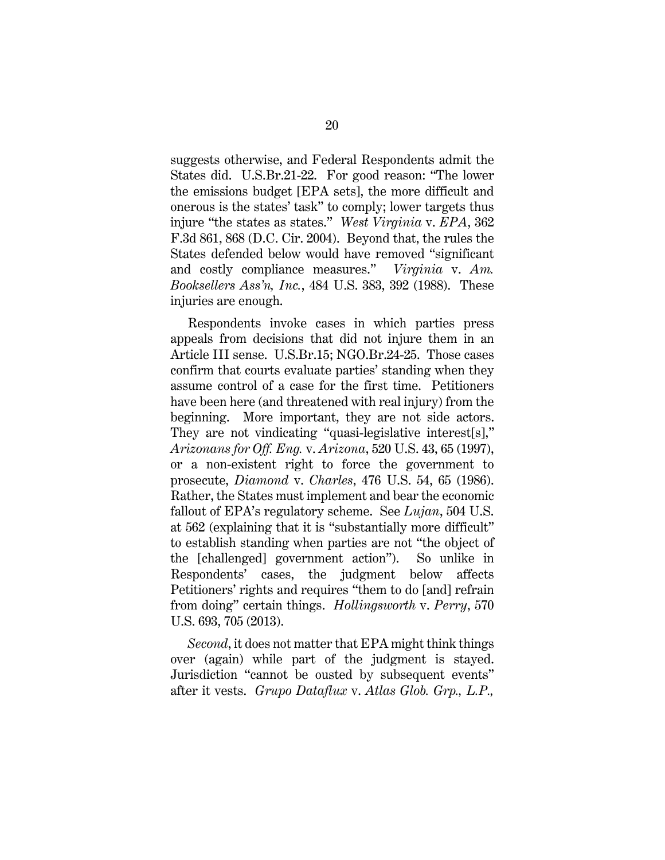suggests otherwise, and Federal Respondents admit the States did. U.S.Br.21-22. For good reason: "The lower the emissions budget [EPA sets], the more difficult and onerous is the states' task" to comply; lower targets thus injure "the states as states." *West Virginia* v. *EPA*, 362 F.3d 861, 868 (D.C. Cir. 2004). Beyond that, the rules the States defended below would have removed "significant and costly compliance measures." *Virginia* v. *Am. Booksellers Ass'n, Inc.*, 484 U.S. 383, 392 (1988). These injuries are enough.

Respondents invoke cases in which parties press appeals from decisions that did not injure them in an Article III sense. U.S.Br.15; NGO.Br.24-25. Those cases confirm that courts evaluate parties' standing when they assume control of a case for the first time. Petitioners have been here (and threatened with real injury) from the beginning. More important, they are not side actors. They are not vindicating "quasi-legislative interest[s]," *Arizonans for Off. Eng.* v. *Arizona*, 520 U.S. 43, 65 (1997), or a non-existent right to force the government to prosecute, *Diamond* v. *Charles*, 476 U.S. 54, 65 (1986). Rather, the States must implement and bear the economic fallout of EPA's regulatory scheme. See *Lujan*, 504 U.S. at 562 (explaining that it is "substantially more difficult" to establish standing when parties are not "the object of the [challenged] government action"). So unlike in Respondents' cases, the judgment below affects Petitioners' rights and requires "them to do [and] refrain from doing" certain things. *Hollingsworth* v. *Perry*, 570 U.S. 693, 705 (2013).

*Second*, it does not matter that EPA might think things over (again) while part of the judgment is stayed. Jurisdiction "cannot be ousted by subsequent events" after it vests. *Grupo Dataflux* v. *Atlas Glob. Grp., L.P.,*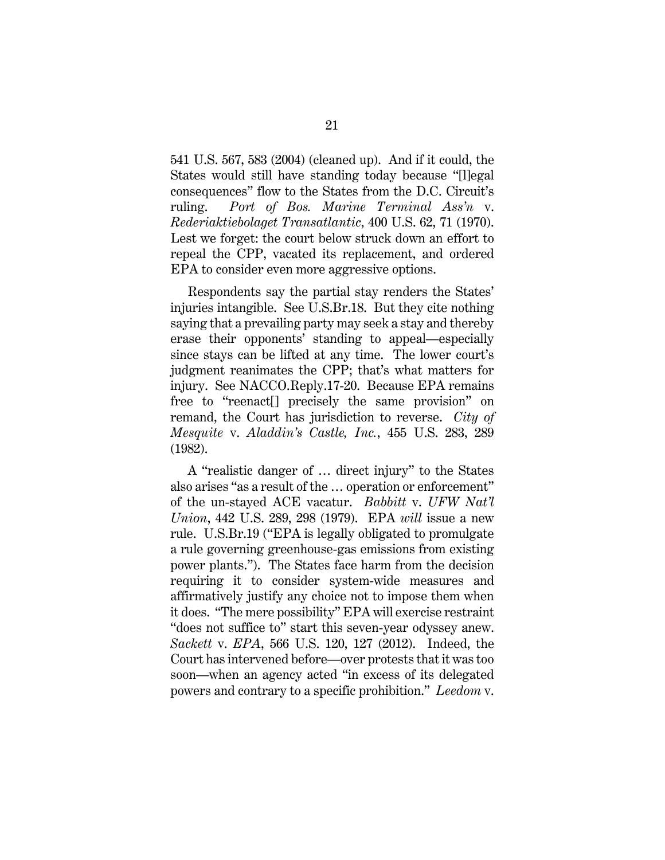541 U.S. 567, 583 (2004) (cleaned up). And if it could, the States would still have standing today because "[l]egal consequences" flow to the States from the D.C. Circuit's ruling. *Port of Bos. Marine Terminal Ass'n* v. *Rederiaktiebolaget Transatlantic*, 400 U.S. 62, 71 (1970). Lest we forget: the court below struck down an effort to repeal the CPP, vacated its replacement, and ordered EPA to consider even more aggressive options.

Respondents say the partial stay renders the States' injuries intangible. See U.S.Br.18. But they cite nothing saying that a prevailing party may seek a stay and thereby erase their opponents' standing to appeal—especially since stays can be lifted at any time. The lower court's judgment reanimates the CPP; that's what matters for injury. See NACCO.Reply.17-20. Because EPA remains free to "reenact[] precisely the same provision" on remand, the Court has jurisdiction to reverse. *City of Mesquite* v. *Aladdin's Castle, Inc.*, 455 U.S. 283, 289 (1982).

A "realistic danger of … direct injury" to the States also arises "as a result of the … operation or enforcement" of the un-stayed ACE vacatur. *Babbitt* v. *UFW Nat'l Union*, 442 U.S. 289, 298 (1979). EPA *will* issue a new rule. U.S.Br.19 ("EPA is legally obligated to promulgate a rule governing greenhouse-gas emissions from existing power plants."). The States face harm from the decision requiring it to consider system-wide measures and affirmatively justify any choice not to impose them when it does. "The mere possibility" EPA will exercise restraint "does not suffice to" start this seven-year odyssey anew. *Sackett* v. *EPA*, 566 U.S. 120, 127 (2012). Indeed, the Court has intervened before—over protests that it was too soon—when an agency acted "in excess of its delegated powers and contrary to a specific prohibition." *Leedom* v.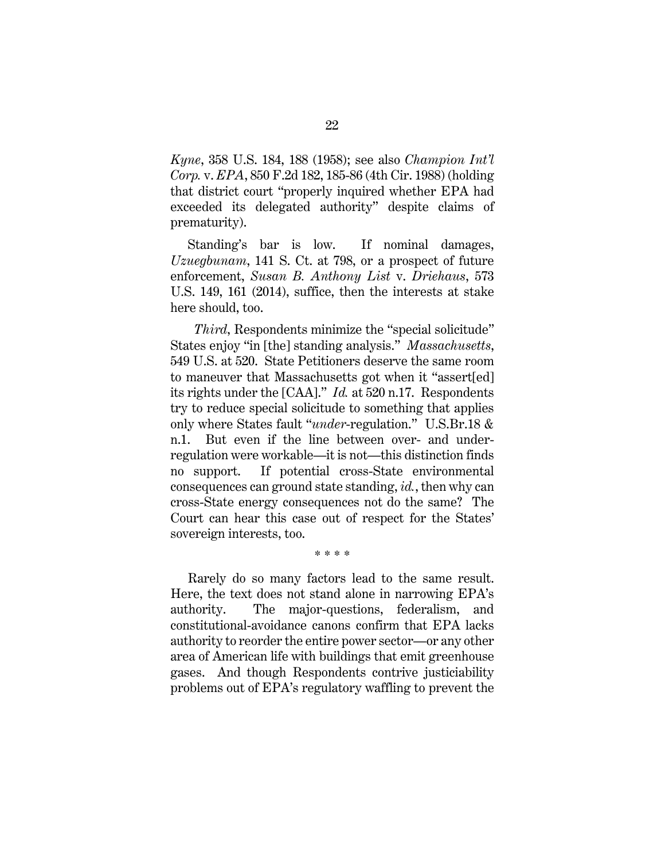*Kyne*, 358 U.S. 184, 188 (1958); see also *Champion Int'l Corp.* v. *EPA*, 850 F.2d 182, 185-86 (4th Cir. 1988) (holding that district court "properly inquired whether EPA had exceeded its delegated authority" despite claims of prematurity).

Standing's bar is low. If nominal damages, *Uzuegbunam*, 141 S. Ct. at 798, or a prospect of future enforcement, *Susan B. Anthony List* v. *Driehaus*, 573 U.S. 149, 161 (2014), suffice, then the interests at stake here should, too.

*Third*, Respondents minimize the "special solicitude" States enjoy "in [the] standing analysis." *Massachusetts*, 549 U.S. at 520. State Petitioners deserve the same room to maneuver that Massachusetts got when it "assert[ed] its rights under the [CAA]." *Id.* at 520 n.17. Respondents try to reduce special solicitude to something that applies only where States fault "*under*-regulation." U.S.Br.18 & n.1. But even if the line between over- and underregulation were workable—it is not—this distinction finds no support. If potential cross-State environmental consequences can ground state standing, *id.*, then why can cross-State energy consequences not do the same? The Court can hear this case out of respect for the States' sovereign interests, too.

\* \* \* \*

Rarely do so many factors lead to the same result. Here, the text does not stand alone in narrowing EPA's authority. The major-questions, federalism, and constitutional-avoidance canons confirm that EPA lacks authority to reorder the entire power sector—or any other area of American life with buildings that emit greenhouse gases. And though Respondents contrive justiciability problems out of EPA's regulatory waffling to prevent the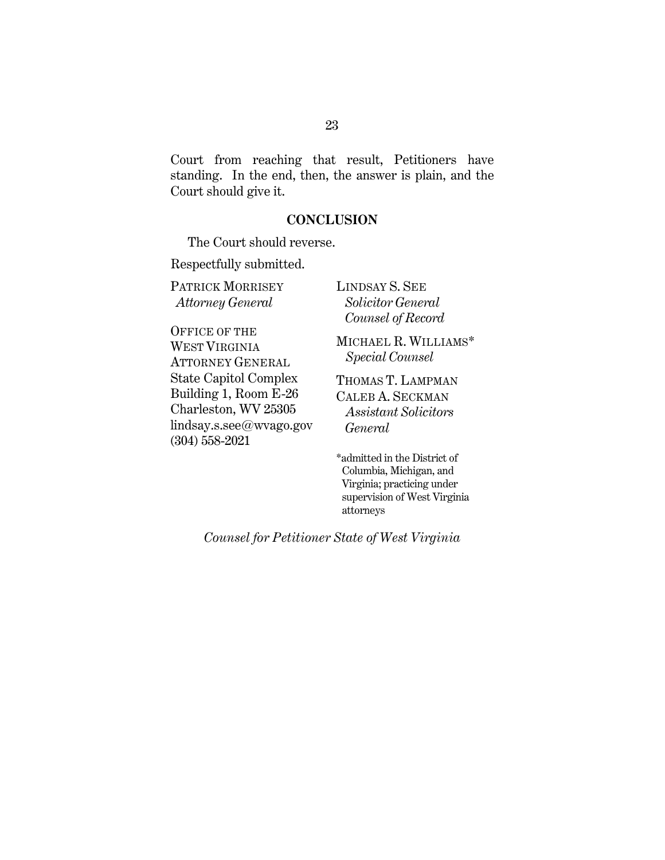Court from reaching that result, Petitioners have standing. In the end, then, the answer is plain, and the Court should give it.

### **CONCLUSION**

The Court should reverse.

Respectfully submitted.

PATRICK MORRISEY *Attorney General* 

OFFICE OF THE WEST VIRGINIA ATTORNEY GENERAL State Capitol Complex Building 1, Room E-26 Charleston, WV 25305 lindsay.s.see@wvago.gov (304) 558-2021

LINDSAY S. SEE  *Solicitor General Counsel of Record*

MICHAEL R. WILLIAMS\* *Special Counsel*

THOMAS T. LAMPMAN CALEB A. SECKMAN *Assistant Solicitors General* 

\*admitted in the District of Columbia, Michigan, and Virginia; practicing under supervision of West Virginia attorneys

*Counsel for Petitioner State of West Virginia*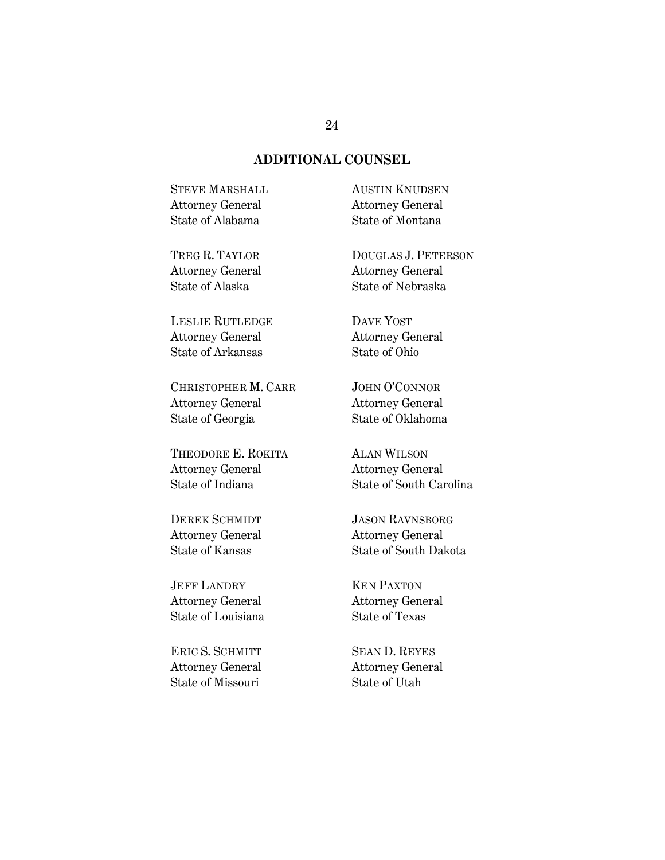## **ADDITIONAL COUNSEL**

STEVE MARSHALL Attorney General State of Alabama

TREG R. TAYLOR Attorney General State of Alaska

LESLIE RUTLEDGE Attorney General State of Arkansas

CHRISTOPHER M. CARR Attorney General State of Georgia

THEODORE E. ROKITA Attorney General State of Indiana

DEREK SCHMIDT Attorney General State of Kansas

JEFF LANDRY Attorney General State of Louisiana

ERIC S. SCHMITT Attorney General State of Missouri

AUSTIN KNUDSEN Attorney General State of Montana

DOUGLAS J. PETERSON Attorney General State of Nebraska

DAVE YOST Attorney General State of Ohio

JOHN O'CONNOR Attorney General State of Oklahoma

ALAN WILSON Attorney General State of South Carolina

JASON RAVNSBORG Attorney General State of South Dakota

KEN PAXTON Attorney General State of Texas

SEAN D. REYES Attorney General State of Utah

#### 24